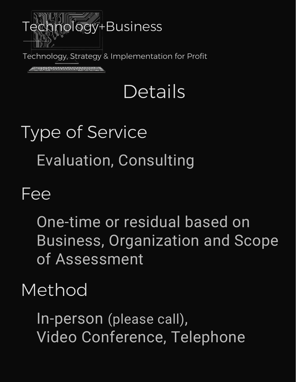

Technology, Strategy & Implementation for Profit

<u> sacronomicación a</u>

## Details

# Type of Service Evaluation, Consulting

#### Fee

One-time or residual based on Business, Organization and Scope of Assessment

#### Method

In-person (please call), Video Conference, Telephone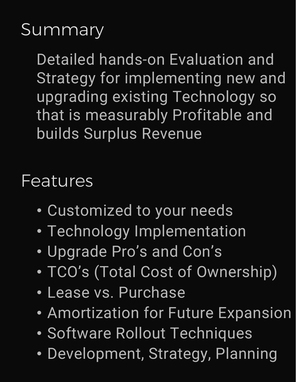#### **Summary**

Detailed hands-on Evaluation and Strategy for implementing new and upgrading existing Technology so that is measurably Profitable and builds Surplus Revenue

Features

- Customized to your needs
- Technology Implementation
- Upgrade Pro's and Con's
- TCO's (Total Cost of Ownership)
- Lease vs. Purchase
- Amortization for Future Expansion
- Software Rollout Techniques
- Development, Strategy, Planning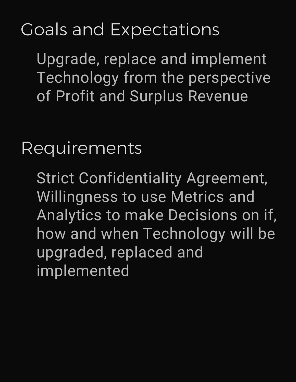### Goals and Expectations

Upgrade, replace and implement Technology from the perspective of Profit and Surplus Revenue

Requirements

Strict Confidentiality Agreement, Willingness to use Metrics and Analytics to make Decisions on if, how and when Technology will be upgraded, replaced and implemented